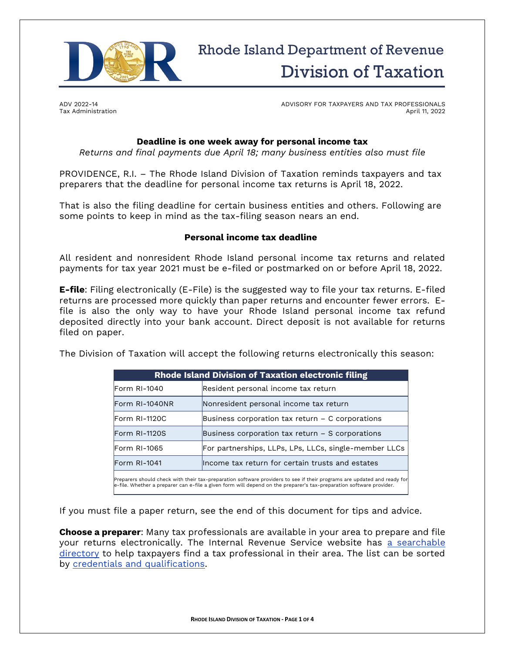

ADV 2022-14 Tax Administration ADVISORY FOR TAXPAYERS AND TAX PROFESSIONALS April 11, 2022

# **Deadline is one week away for personal income tax**

*Returns and final payments due April 18; many business entities also must file*

PROVIDENCE, R.I. – The Rhode Island Division of Taxation reminds taxpayers and tax preparers that the deadline for personal income tax returns is April 18, 2022.

That is also the filing deadline for certain business entities and others. Following are some points to keep in mind as the tax-filing season nears an end.

#### **Personal income tax deadline**

All resident and nonresident Rhode Island personal income tax returns and related payments for tax year 2021 must be e-filed or postmarked on or before April 18, 2022.

**E-file**: Filing electronically (E-File) is the suggested way to file your tax returns. E-filed returns are processed more quickly than paper returns and encounter fewer errors. Efile is also the only way to have your Rhode Island personal income tax refund deposited directly into your bank account. Direct deposit is not available for returns filed on paper.

The Division of Taxation will accept the following returns electronically this season:

| <b>Rhode Island Division of Taxation electronic filing</b> |                                                       |
|------------------------------------------------------------|-------------------------------------------------------|
| Form RI-1040                                               | Resident personal income tax return                   |
| Form RI-1040NR                                             | Nonresident personal income tax return                |
| Form RI-1120C                                              | Business corporation tax return $-$ C corporations    |
| Form RI-1120S                                              | Business corporation tax return $-$ S corporations    |
| Form RI-1065                                               | For partnerships, LLPs, LPs, LLCs, single-member LLCs |
| Form RI-1041                                               | lincome tax return for certain trusts and estates     |
|                                                            |                                                       |

Preparers should check with their tax-preparation software providers to see if their programs are updated and ready for e-file. Whether a preparer can e-file a given form will depend on the preparer's tax-preparation software provider.

If you must file a paper return, see the end of this document for tips and advice.

**Choose a preparer**: Many tax professionals are available in your area to prepare and file your returns electronically. The Internal Revenue Service website has a searchable [directory](https://irs.treasury.gov/rpo/rpo.jsf) to help taxpayers find a tax professional in their area. The list can be sorted by [credentials and qualifications.](https://www.irs.gov/tax-professionals/understanding-tax-return-preparer-credentials-and-qualifications)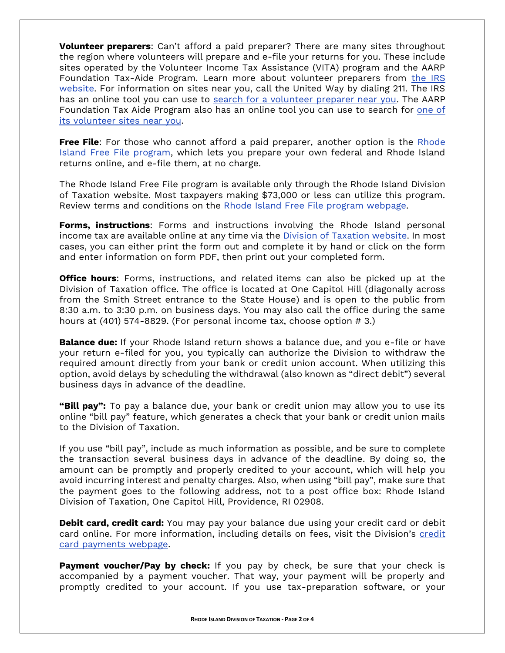**Volunteer preparers**: Can't afford a paid preparer? There are many sites throughout the region where volunteers will prepare and e-file your returns for you. These include sites operated by the Volunteer Income Tax Assistance (VITA) program and the AARP Foundation Tax-Aide Program. Learn more about volunteer preparers from [the IRS](https://www.irs.gov/individuals/free-tax-return-preparation-for-you-by-volunteers)  [website.](https://www.irs.gov/individuals/free-tax-return-preparation-for-you-by-volunteers) For information on sites near you, call the United Way by dialing 211. The IRS has an online tool you can use to [search for a volunteer preparer near you.](https://irs.treasury.gov/freetaxprep/) The AARP Foundation Tax Aide Program also has an online tool you can use to search for [one of](https://secure.aarp.org/applications/VMISLocator/searchTaxAideLocations.action)  [its volunteer sites near you.](https://secure.aarp.org/applications/VMISLocator/searchTaxAideLocations.action)

**Free File**: For those who cannot afford a paid preparer, another option is the Rhode [Island Free File program,](https://tax.ri.gov/online-services/make-payment-online/free-file) which lets you prepare your own federal and Rhode Island returns online, and e-file them, at no charge.

The Rhode Island Free File program is available only through the Rhode Island Division of Taxation website. Most taxpayers making \$73,000 or less can utilize this program. Review terms and conditions on the [Rhode Island Free File program webpage.](https://tax.ri.gov/online-services/make-payment-online/free-file)

**Forms, instructions**: Forms and instructions involving the Rhode Island personal income tax are available online at any time via the **Division of Taxation website**. In most cases, you can either print the form out and complete it by hand or click on the form and enter information on form PDF, then print out your completed form.

**Office hours**: Forms, instructions, and related items can also be picked up at the Division of Taxation office. The office is located at One Capitol Hill (diagonally across from the Smith Street entrance to the State House) and is open to the public from 8:30 a.m. to 3:30 p.m. on business days. You may also call the office during the same hours at (401) 574-8829. (For personal income tax, choose option # 3.)

**Balance due:** If your Rhode Island return shows a balance due, and you e-file or have your return e-filed for you, you typically can authorize the Division to withdraw the required amount directly from your bank or credit union account. When utilizing this option, avoid delays by scheduling the withdrawal (also known as "direct debit") several business days in advance of the deadline.

**"Bill pay":** To pay a balance due, your bank or credit union may allow you to use its online "bill pay" feature, which generates a check that your bank or credit union mails to the Division of Taxation.

If you use "bill pay", include as much information as possible, and be sure to complete the transaction several business days in advance of the deadline. By doing so, the amount can be promptly and properly credited to your account, which will help you avoid incurring interest and penalty charges. Also, when using "bill pay", make sure that the payment goes to the following address, not to a post office box: Rhode Island Division of Taxation, One Capitol Hill, Providence, RI 02908.

**Debit card, credit card:** You may pay your balance due using your credit card or debit card online. For more information, including details on fees, visit the Division's credit [card payments webpage.](https://tax.ri.gov/online-services/make-payment-online/credit-card-payments)

**Payment voucher/Pay by check:** If you pay by check, be sure that your check is accompanied by a payment voucher. That way, your payment will be properly and promptly credited to your account. If you use tax-preparation software, or your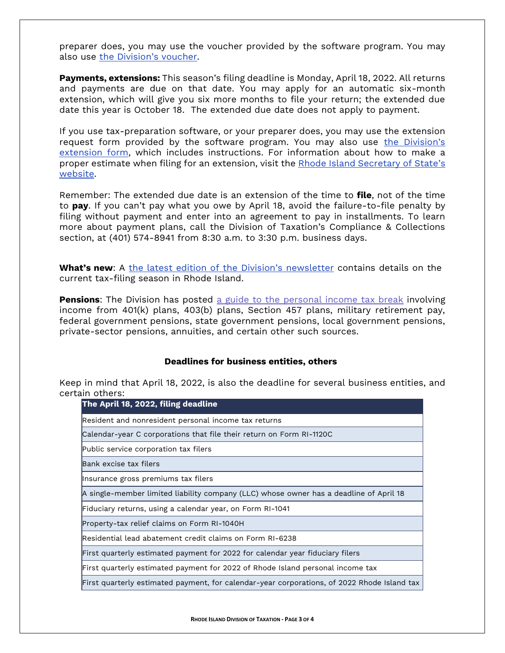preparer does, you may use the voucher provided by the software program. You may also use [the Division's voucher](https://tax.ri.gov/media/18116/download?language=en).

**Payments, extensions:** This season's filing deadline is Monday, April 18, 2022. All returns and payments are due on that date. You may apply for an automatic six-month extension, which will give you six more months to file your return; the extended due date this year is October 18. The extended due date does not apply to payment.

If you use tax-preparation software, or your preparer does, you may use the extension request form provided by the software program. You may also use [the Division's](https://tax.ri.gov/media/18591/download?language=en)  [extension form,](https://tax.ri.gov/media/18591/download?language=en) which includes instructions. For information about how to make a proper estimate when filing for an extension, visit the [Rhode Island Secretary of State](https://rules.sos.ri.gov/Regulations/Part/280-20-55-2)'s [website.](https://rules.sos.ri.gov/Regulations/Part/280-20-55-2)

Remember: The extended due date is an extension of the time to **file**, not of the time to **pay**. If you can't pay what you owe by April 18, avoid the failure-to-file penalty by filing without payment and enter into an agreement to pay in installments. To learn more about payment plans, call the Division of Taxation's Compliance & Collections section, at (401) 574-8941 from 8:30 a.m. to 3:30 p.m. business days.

**What's new**: A the latest [edition of the Division's newsletter](https://tax.ri.gov/sites/g/files/xkgbur541/files/2022-03/newsletter_for_first_quarter_2022.pdf) contains details on the current tax-filing season in Rhode Island.

**Pensions**: The Division has posted [a guide to the personal income tax break](https://tax.ri.gov/sites/g/files/xkgbur541/files/2022-04/PUB_2022-01_pension_income_guide.pdf) involving income from 401(k) plans, 403(b) plans, Section 457 plans, military retirement pay, federal government pensions, state government pensions, local government pensions, private-sector pensions, annuities, and certain other such sources.

### **Deadlines for business entities, others**

Keep in mind that April 18, 2022, is also the deadline for several business entities, and certain others:

| The April 18, 2022, filing deadline                                                         |  |
|---------------------------------------------------------------------------------------------|--|
| Resident and nonresident personal income tax returns                                        |  |
| Calendar-year C corporations that file their return on Form RI-1120C                        |  |
| Public service corporation tax filers                                                       |  |
| Bank excise tax filers                                                                      |  |
| Insurance gross premiums tax filers                                                         |  |
| A single-member limited liability company (LLC) whose owner has a deadline of April 18      |  |
| Fiduciary returns, using a calendar year, on Form RI-1041                                   |  |
| Property-tax relief claims on Form RI-1040H                                                 |  |
| Residential lead abatement credit claims on Form RI-6238                                    |  |
| First quarterly estimated payment for 2022 for calendar year fiduciary filers               |  |
| First quarterly estimated payment for 2022 of Rhode Island personal income tax              |  |
| First quarterly estimated payment, for calendar-year corporations, of 2022 Rhode Island tax |  |
|                                                                                             |  |